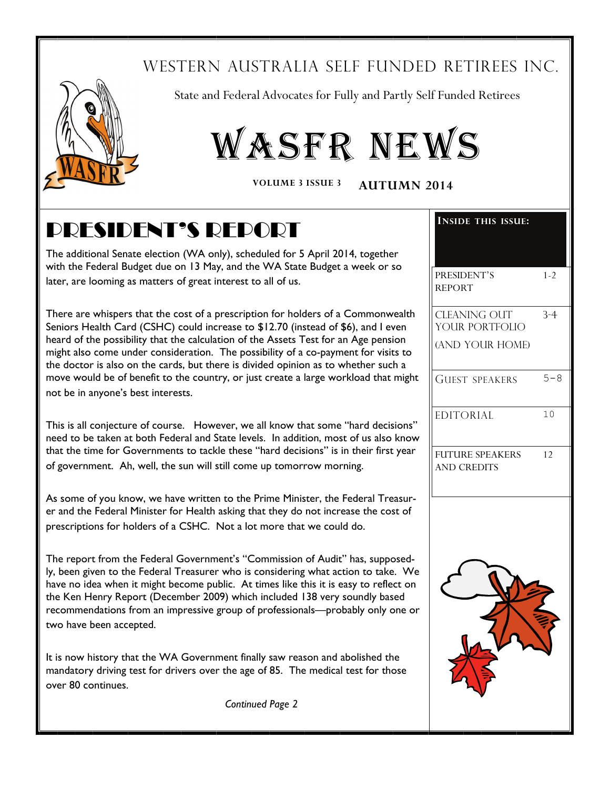## WESTERN AUSTRALIA SELF FUNDED RETIREES INC.



State and Federal Advocates for Fully and Partly Self Funded Retirees

# WASFR NEWS

**VOLUME 3 ISSUE 3 AUTUMN 2014**

## PRESIDENT'S REPORT

The additional Senate election (WA only), scheduled for 5 April 2014, together with the Federal Budget due on 13 May, and the WA State Budget a week or so later, are looming as matters of great interest to all of us.

There are whispers that the cost of a prescription for holders of a Commonwealth Seniors Health Card (CSHC) could increase to \$12.70 (instead of \$6), and I even heard of the possibility that the calculation of the Assets Test for an Age pension might also come under consideration. The possibility of a co-payment for visits to the doctor is also on the cards, but there is divided opinion as to whether such a move would be of benefit to the country, or just create a large workload that might not be in anyone's best interests.

This is all conjecture of course. However, we all know that some "hard decisions" need to be taken at both Federal and State levels. In addition, most of us also know that the time for Governments to tackle these "hard decisions" is in their first year of government. Ah, well, the sun will still come up tomorrow morning.

As some of you know, we have written to the Prime Minister, the Federal Treasurer and the Federal Minister for Health asking that they do not increase the cost of prescriptions for holders of a CSHC. Not a lot more that we could do.

The report from the Federal Government's "Commission of Audit" has, supposedly, been given to the Federal Treasurer who is considering what action to take. We have no idea when it might become public. At times like this it is easy to reflect on the Ken Henry Report (December 2009) which included 138 very soundly based recommendations from an impressive group of professionals—probably only one or two have been accepted.

It is now history that the WA Government finally saw reason and abolished the mandatory driving test for drivers over the age of 85. The medical test for those over 80 continues.

| <b>INSIDE THIS ISSUE:</b>                    |         |
|----------------------------------------------|---------|
|                                              |         |
| PRESIDENT'S<br><b>REPORT</b>                 | $1 - 2$ |
|                                              |         |
| <b>CLEANING OUT</b><br>YOUR PORTFOLIO        | $3 - 4$ |
| (AND YOUR HOME)                              |         |
| <b>GUEST SPEAKERS</b>                        | $5 - 8$ |
| <b>EDITORIAL</b>                             | 10      |
| <b>FUTURE SPEAKERS</b><br><b>AND CREDITS</b> | 12      |
|                                              |         |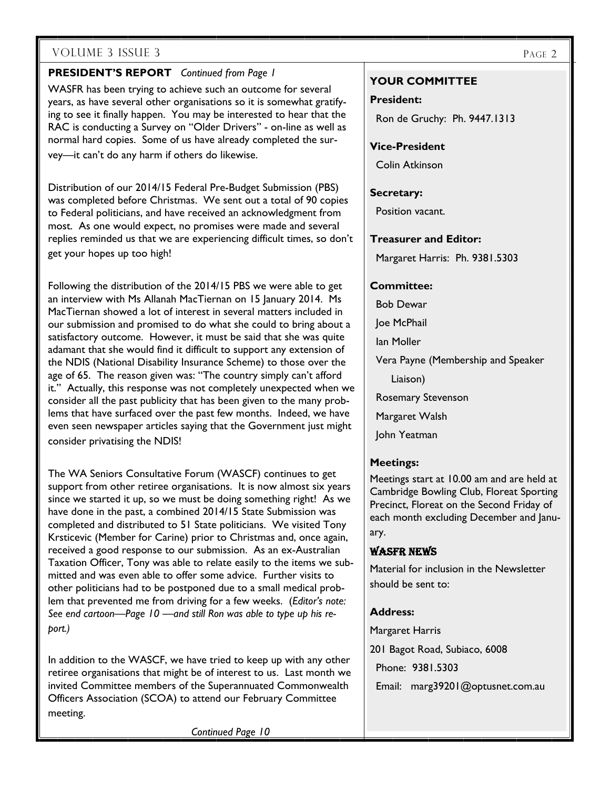#### **PRESIDENT'S REPORT** *Continued from Page 1*

WASFR has been trying to achieve such an outcome for several years, as have several other organisations so it is somewhat gratifying to see it finally happen. You may be interested to hear that the RAC is conducting a Survey on "Older Drivers" - on-line as well as normal hard copies. Some of us have already completed the survey—it can't do any harm if others do likewise.

Distribution of our 2014/15 Federal Pre-Budget Submission (PBS) was completed before Christmas. We sent out a total of 90 copies to Federal politicians, and have received an acknowledgment from most. As one would expect, no promises were made and several replies reminded us that we are experiencing difficult times, so don't get your hopes up too high!

Following the distribution of the 2014/15 PBS we were able to get an interview with Ms Allanah MacTiernan on 15 January 2014. Ms MacTiernan showed a lot of interest in several matters included in our submission and promised to do what she could to bring about a satisfactory outcome. However, it must be said that she was quite adamant that she would find it difficult to support any extension of the NDIS (National Disability Insurance Scheme) to those over the age of 65. The reason given was: "The country simply can't afford it." Actually, this response was not completely unexpected when we consider all the past publicity that has been given to the many problems that have surfaced over the past few months. Indeed, we have even seen newspaper articles saying that the Government just might consider privatising the NDIS!

The WA Seniors Consultative Forum (WASCF) continues to get support from other retiree organisations. It is now almost six years since we started it up, so we must be doing something right! As we have done in the past, a combined 2014/15 State Submission was completed and distributed to 51 State politicians. We visited Tony Krsticevic (Member for Carine) prior to Christmas and, once again, received a good response to our submission. As an ex-Australian Taxation Officer, Tony was able to relate easily to the items we submitted and was even able to offer some advice. Further visits to other politicians had to be postponed due to a small medical problem that prevented me from driving for a few weeks. (*Editor's note: See end cartoon—Page 10 —and still Ron was able to type up his report.)* 

In addition to the WASCF, we have tried to keep up with any other retiree organisations that might be of interest to us. Last month we invited Committee members of the Superannuated Commonwealth Officers Association (SCOA) to attend our February Committee meeting.

*Continued Page 10* 

#### **YOUR COMMITTEE**

#### **President:**

Ron de Gruchy: Ph. 9447.1313

#### **Vice-President**

Colin Atkinson

#### **Secretary:**

Position vacant.

**Treasurer and Editor:** 

Margaret Harris: Ph. 9381.5303

#### **Committee:**

Bob Dewar

Joe McPhail

Ian Moller

Vera Payne (Membership and Speaker

Liaison)

Rosemary Stevenson

Margaret Walsh

John Yeatman

#### **Meetings:**

Meetings start at 10.00 am and are held at Cambridge Bowling Club, Floreat Sporting Precinct, Floreat on the Second Friday of each month excluding December and January.

#### WASFR NEWS

Material for inclusion in the Newsletter should be sent to:

#### **Address:**

Margaret Harris

201 Bagot Road, Subiaco, 6008

Phone: 9381.5303

Email: marg39201@optusnet.com.au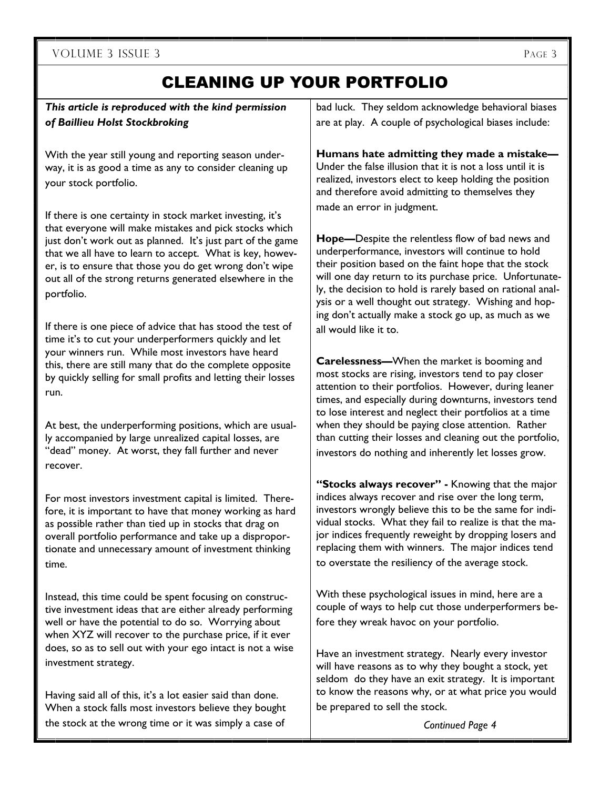## CLEANING UP YOUR PORTFOLIO

*This article is reproduced with the kind permission of Baillieu Holst Stockbroking* 

With the year still young and reporting season underway, it is as good a time as any to consider cleaning up your stock portfolio.

If there is one certainty in stock market investing, it's that everyone will make mistakes and pick stocks which just don't work out as planned. It's just part of the game that we all have to learn to accept. What is key, however, is to ensure that those you do get wrong don't wipe out all of the strong returns generated elsewhere in the portfolio.

If there is one piece of advice that has stood the test of time it's to cut your underperformers quickly and let your winners run. While most investors have heard this, there are still many that do the complete opposite by quickly selling for small profits and letting their losses run.

At best, the underperforming positions, which are usually accompanied by large unrealized capital losses, are "dead" money. At worst, they fall further and never recover.

For most investors investment capital is limited. Therefore, it is important to have that money working as hard as possible rather than tied up in stocks that drag on overall portfolio performance and take up a disproportionate and unnecessary amount of investment thinking time.

Instead, this time could be spent focusing on constructive investment ideas that are either already performing well or have the potential to do so. Worrying about when XYZ will recover to the purchase price, if it ever does, so as to sell out with your ego intact is not a wise investment strategy.

Having said all of this, it's a lot easier said than done. When a stock falls most investors believe they bought the stock at the wrong time or it was simply a case of

bad luck. They seldom acknowledge behavioral biases are at play. A couple of psychological biases include:

**Humans hate admitting they made a mistake—** Under the false illusion that it is not a loss until it is realized, investors elect to keep holding the position and therefore avoid admitting to themselves they made an error in judgment.

**Hope—**Despite the relentless flow of bad news and underperformance, investors will continue to hold their position based on the faint hope that the stock will one day return to its purchase price. Unfortunately, the decision to hold is rarely based on rational analysis or a well thought out strategy. Wishing and hoping don't actually make a stock go up, as much as we all would like it to.

**Carelessness—**When the market is booming and most stocks are rising, investors tend to pay closer attention to their portfolios. However, during leaner times, and especially during downturns, investors tend to lose interest and neglect their portfolios at a time when they should be paying close attention. Rather than cutting their losses and cleaning out the portfolio, investors do nothing and inherently let losses grow.

**"Stocks always recover" -** Knowing that the major indices always recover and rise over the long term, investors wrongly believe this to be the same for individual stocks. What they fail to realize is that the major indices frequently reweight by dropping losers and replacing them with winners. The major indices tend to overstate the resiliency of the average stock.

With these psychological issues in mind, here are a couple of ways to help cut those underperformers before they wreak havoc on your portfolio.

Have an investment strategy. Nearly every investor will have reasons as to why they bought a stock, yet seldom do they have an exit strategy. It is important to know the reasons why, or at what price you would be prepared to sell the stock.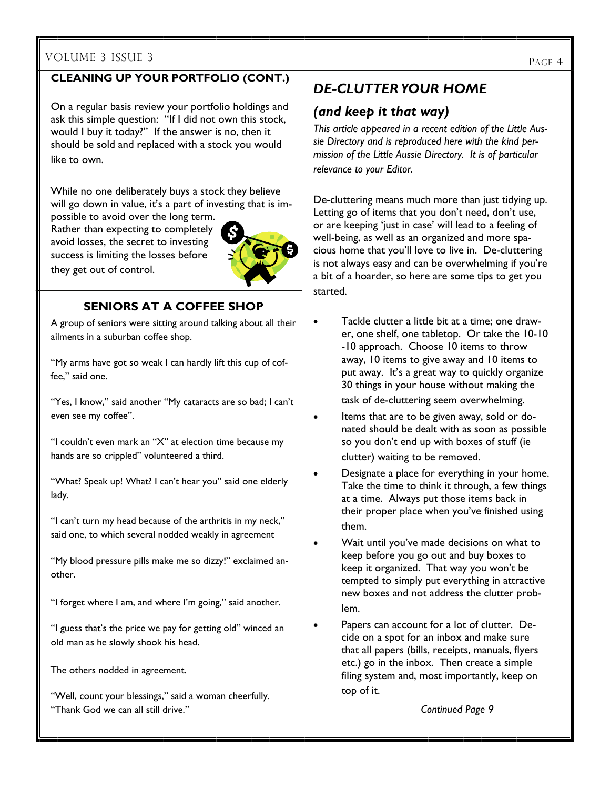#### VOLUME 3 ISSUE 3

#### **CLEANING UP YOUR PORTFOLIO (CONT.)**

On a regular basis review your portfolio holdings and ask this simple question: "If I did not own this stock, would I buy it today?" If the answer is no, then it should be sold and replaced with a stock you would like to own.

While no one deliberately buys a stock they believe will go down in value, it's a part of investing that is im-

possible to avoid over the long term. Rather than expecting to completely avoid losses, the secret to investing success is limiting the losses before they get out of control.



#### **SENIORS AT A COFFEE SHOP**

A group of seniors were sitting around talking about all their ailments in a suburban coffee shop.

"My arms have got so weak I can hardly lift this cup of coffee," said one.

"Yes, I know," said another "My cataracts are so bad; I can't even see my coffee".

"I couldn't even mark an "X" at election time because my hands are so crippled" volunteered a third.

"What? Speak up! What? I can't hear you" said one elderly lady.

"I can't turn my head because of the arthritis in my neck," said one, to which several nodded weakly in agreement

"My blood pressure pills make me so dizzy!" exclaimed another.

"I forget where I am, and where I'm going," said another.

"I guess that's the price we pay for getting old" winced an old man as he slowly shook his head.

The others nodded in agreement.

"Well, count your blessings," said a woman cheerfully. "Thank God we can all still drive."

#### *DE-CLUTTER YOUR HOME*

#### *(and keep it that way)*

*This article appeared in a recent edition of the Little Aussie Directory and is reproduced here with the kind permission of the Little Aussie Directory. It is of particular relevance to your Editor.* 

De-cluttering means much more than just tidying up. Letting go of items that you don't need, don't use, or are keeping 'just in case' will lead to a feeling of well-being, as well as an organized and more spacious home that you'll love to live in. De-cluttering is not always easy and can be overwhelming if you're a bit of a hoarder, so here are some tips to get you started.

- Tackle clutter a little bit at a time; one drawer, one shelf, one tabletop. Or take the 10-10 -10 approach. Choose 10 items to throw away, 10 items to give away and 10 items to put away. It's a great way to quickly organize 30 things in your house without making the task of de-cluttering seem overwhelming.
- Items that are to be given away, sold or donated should be dealt with as soon as possible so you don't end up with boxes of stuff (ie clutter) waiting to be removed.
- Designate a place for everything in your home. Take the time to think it through, a few things at a time. Always put those items back in their proper place when you've finished using them.
- Wait until you've made decisions on what to keep before you go out and buy boxes to keep it organized. That way you won't be tempted to simply put everything in attractive new boxes and not address the clutter problem.
- Papers can account for a lot of clutter. Decide on a spot for an inbox and make sure that all papers (bills, receipts, manuals, flyers etc.) go in the inbox. Then create a simple filing system and, most importantly, keep on top of it.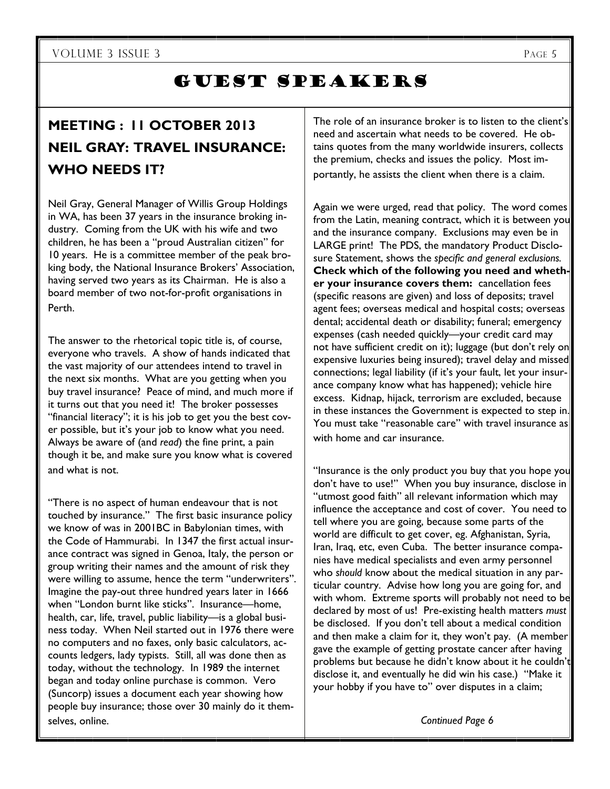$\overline{\phantom{a}}$ 

## GUEST SPEAKERS

## **MEETING : 11 OCTOBER 2013 NEIL GRAY: TRAVEL INSURANCE: WHO NEEDS IT?**

Neil Gray, General Manager of Willis Group Holdings in WA, has been 37 years in the insurance broking industry. Coming from the UK with his wife and two children, he has been a "proud Australian citizen" for 10 years. He is a committee member of the peak broking body, the National Insurance Brokers' Association, having served two years as its Chairman. He is also a board member of two not-for-profit organisations in Perth.

The answer to the rhetorical topic title is, of course, everyone who travels. A show of hands indicated that the vast majority of our attendees intend to travel in the next six months. What are you getting when you buy travel insurance? Peace of mind, and much more if it turns out that you need it! The broker possesses "financial literacy"; it is his job to get you the best cover possible, but it's your job to know what you need. Always be aware of (and *read*) the fine print, a pain though it be, and make sure you know what is covered and what is not.

"There is no aspect of human endeavour that is not touched by insurance." The first basic insurance policy we know of was in 2001BC in Babylonian times, with the Code of Hammurabi. In 1347 the first actual insurance contract was signed in Genoa, Italy, the person or group writing their names and the amount of risk they were willing to assume, hence the term "underwriters". Imagine the pay-out three hundred years later in 1666 when "London burnt like sticks". Insurance—home, health, car, life, travel, public liability—is a global business today. When Neil started out in 1976 there were no computers and no faxes, only basic calculators, accounts ledgers, lady typists. Still, all was done then as today, without the technology. In 1989 the internet began and today online purchase is common. Vero (Suncorp) issues a document each year showing how people buy insurance; those over 30 mainly do it themselves, online.

The role of an insurance broker is to listen to the client's need and ascertain what needs to be covered. He obtains quotes from the many worldwide insurers, collects the premium, checks and issues the policy. Most importantly, he assists the client when there is a claim.

Again we were urged, read that policy. The word comes from the Latin, meaning contract, which it is between you and the insurance company. Exclusions may even be in LARGE print! The PDS, the mandatory Product Disclosure Statement, shows the *specific and general exclusions.*  **Check which of the following you need and whether your insurance covers them:** cancellation fees (specific reasons are given) and loss of deposits; travel agent fees; overseas medical and hospital costs; overseas dental; accidental death or disability; funeral; emergency expenses (cash needed quickly—your credit card may not have sufficient credit on it); luggage (but don't rely on expensive luxuries being insured); travel delay and missed connections; legal liability (if it's your fault, let your insurance company know what has happened); vehicle hire excess. Kidnap, hijack, terrorism are excluded, because in these instances the Government is expected to step in. You must take "reasonable care" with travel insurance as with home and car insurance.

"Insurance is the only product you buy that you hope you don't have to use!" When you buy insurance, disclose in "utmost good faith" all relevant information which may influence the acceptance and cost of cover. You need to tell where you are going, because some parts of the world are difficult to get cover, eg. Afghanistan, Syria, Iran, Iraq, etc, even Cuba. The better insurance companies have medical specialists and even army personnel who *should* know about the medical situation in any particular country. Advise how long you are going for, and with whom. Extreme sports will probably not need to be declared by most of us! Pre-existing health matters *must*  be disclosed. If you don't tell about a medical condition and then make a claim for it, they won't pay. (A member gave the example of getting prostate cancer after having problems but because he didn't know about it he couldn't disclose it, and eventually he did win his case.) "Make it your hobby if you have to" over disputes in a claim;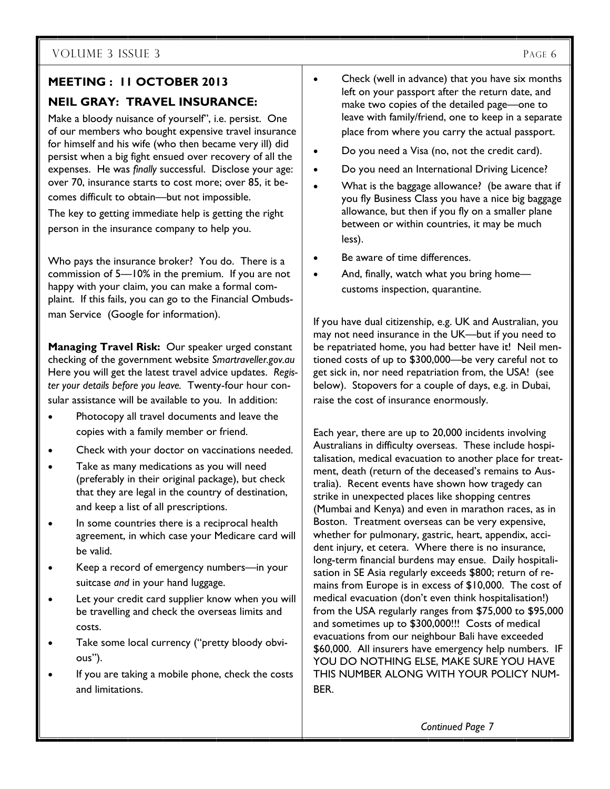#### **MEETING : 11 OCTOBER 2013**

#### **NEIL GRAY: TRAVEL INSURANCE:**

Make a bloody nuisance of yourself", i.e. persist. One of our members who bought expensive travel insurance for himself and his wife (who then became very ill) did persist when a big fight ensued over recovery of all the expenses. He was *finally* successful. Disclose your age: over 70, insurance starts to cost more; over 85, it becomes difficult to obtain—but not impossible.

The key to getting immediate help is getting the right person in the insurance company to help you.

Who pays the insurance broker? You do. There is a commission of 5—10% in the premium. If you are not happy with your claim, you can make a formal complaint. If this fails, you can go to the Financial Ombudsman Service (Google for information).

**Managing Travel Risk:** Our speaker urged constant checking of the government website *Smartraveller.gov.au* Here you will get the latest travel advice updates. *Register your details before you leave.* Twenty-four hour consular assistance will be available to you. In addition:

- Photocopy all travel documents and leave the copies with a family member or friend.
- Check with your doctor on vaccinations needed.
- Take as many medications as you will need (preferably in their original package), but check that they are legal in the country of destination, and keep a list of all prescriptions.
- In some countries there is a reciprocal health agreement, in which case your Medicare card will be valid.
- Keep a record of emergency numbers—in your suitcase *and* in your hand luggage.
- Let your credit card supplier know when you will be travelling and check the overseas limits and costs.
- Take some local currency ("pretty bloody obvious").
- If you are taking a mobile phone, check the costs and limitations.
- Check (well in advance) that you have six months left on your passport after the return date, and make two copies of the detailed page—one to leave with family/friend, one to keep in a separate place from where you carry the actual passport.
- Do you need a Visa (no, not the credit card).
- Do you need an International Driving Licence?
- What is the baggage allowance? (be aware that if you fly Business Class you have a nice big baggage allowance, but then if you fly on a smaller plane between or within countries, it may be much less).
- Be aware of time differences.
- And, finally, watch what you bring home customs inspection, quarantine.

If you have dual citizenship, e.g. UK and Australian, you may not need insurance in the UK—but if you need to be repatriated home, you had better have it! Neil mentioned costs of up to \$300,000—be very careful not to get sick in, nor need repatriation from, the USA! (see below). Stopovers for a couple of days, e.g. in Dubai, raise the cost of insurance enormously.

Each year, there are up to 20,000 incidents involving Australians in difficulty overseas. These include hospitalisation, medical evacuation to another place for treatment, death (return of the deceased's remains to Australia). Recent events have shown how tragedy can strike in unexpected places like shopping centres (Mumbai and Kenya) and even in marathon races, as in Boston. Treatment overseas can be very expensive, whether for pulmonary, gastric, heart, appendix, accident injury, et cetera. Where there is no insurance, long-term financial burdens may ensue. Daily hospitalisation in SE Asia regularly exceeds \$800; return of remains from Europe is in excess of \$10,000. The cost of medical evacuation (don't even think hospitalisation!) from the USA regularly ranges from \$75,000 to \$95,000 and sometimes up to \$300,000!!! Costs of medical evacuations from our neighbour Bali have exceeded \$60,000. All insurers have emergency help numbers. IF YOU DO NOTHING ELSE, MAKE SURE YOU HAVE THIS NUMBER ALONG WITH YOUR POLICY NUM-BER.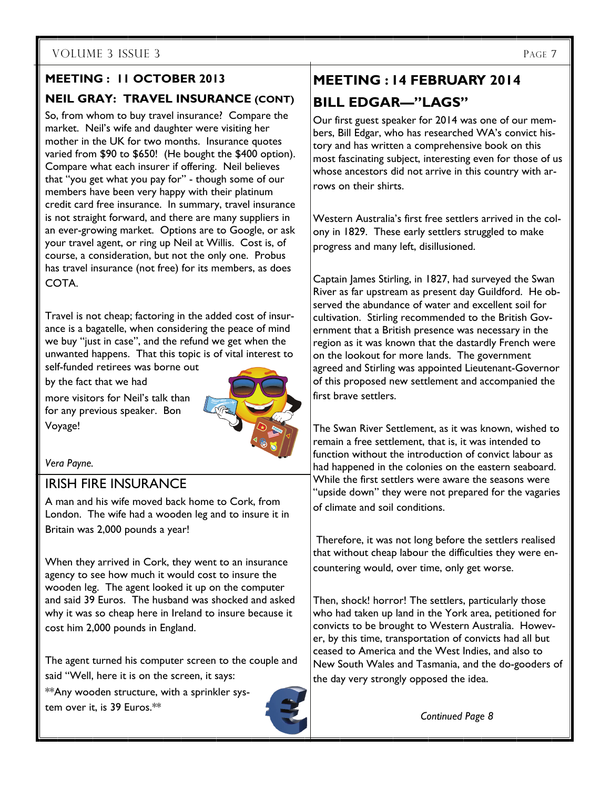### **MEETING : 11 OCTOBER 2013 NEIL GRAY: TRAVEL INSURANCE (CONT)**

So, from whom to buy travel insurance? Compare the market. Neil's wife and daughter were visiting her mother in the UK for two months. Insurance quotes varied from \$90 to \$650! (He bought the \$400 option). Compare what each insurer if offering. Neil believes that "you get what you pay for" - though some of our members have been very happy with their platinum credit card free insurance. In summary, travel insurance is not straight forward, and there are many suppliers in an ever-growing market. Options are to Google, or ask your travel agent, or ring up Neil at Willis. Cost is, of course, a consideration, but not the only one. Probus has travel insurance (not free) for its members, as does COTA.

Travel is not cheap; factoring in the added cost of insurance is a bagatelle, when considering the peace of mind we buy "just in case", and the refund we get when the unwanted happens. That this topic is of vital interest to self-funded retirees was borne out

by the fact that we had

more visitors for Neil's talk than for any previous speaker. Bon Voyage!



*Vera Payne.* 

#### IRISH FIRE INSURANCE

A man and his wife moved back home to Cork, from London. The wife had a wooden leg and to insure it in Britain was 2,000 pounds a year!

When they arrived in Cork, they went to an insurance agency to see how much it would cost to insure the wooden leg. The agent looked it up on the computer and said 39 Euros. The husband was shocked and asked why it was so cheap here in Ireland to insure because it cost him 2,000 pounds in England.

The agent turned his computer screen to the couple and said "Well, here it is on the screen, it says:

\*\*Any wooden structure, with a sprinkler system over it, is 39 Euros.\*\*



## **MEETING : 14 FEBRUARY 2014 BILL EDGAR—"LAGS"**

Our first guest speaker for 2014 was one of our members, Bill Edgar, who has researched WA's convict history and has written a comprehensive book on this most fascinating subject, interesting even for those of us whose ancestors did not arrive in this country with arrows on their shirts.

Western Australia's first free settlers arrived in the colony in 1829. These early settlers struggled to make progress and many left, disillusioned.

Captain James Stirling, in 1827, had surveyed the Swan River as far upstream as present day Guildford. He observed the abundance of water and excellent soil for cultivation. Stirling recommended to the British Government that a British presence was necessary in the region as it was known that the dastardly French were on the lookout for more lands. The government agreed and Stirling was appointed Lieutenant-Governor of this proposed new settlement and accompanied the first brave settlers.

The Swan River Settlement, as it was known, wished to remain a free settlement, that is, it was intended to function without the introduction of convict labour as had happened in the colonies on the eastern seaboard. While the first settlers were aware the seasons were "upside down" they were not prepared for the vagaries of climate and soil conditions.

 Therefore, it was not long before the settlers realised that without cheap labour the difficulties they were encountering would, over time, only get worse.

Then, shock! horror! The settlers, particularly those who had taken up land in the York area, petitioned for convicts to be brought to Western Australia. However, by this time, transportation of convicts had all but ceased to America and the West Indies, and also to New South Wales and Tasmania, and the do-gooders of the day very strongly opposed the idea.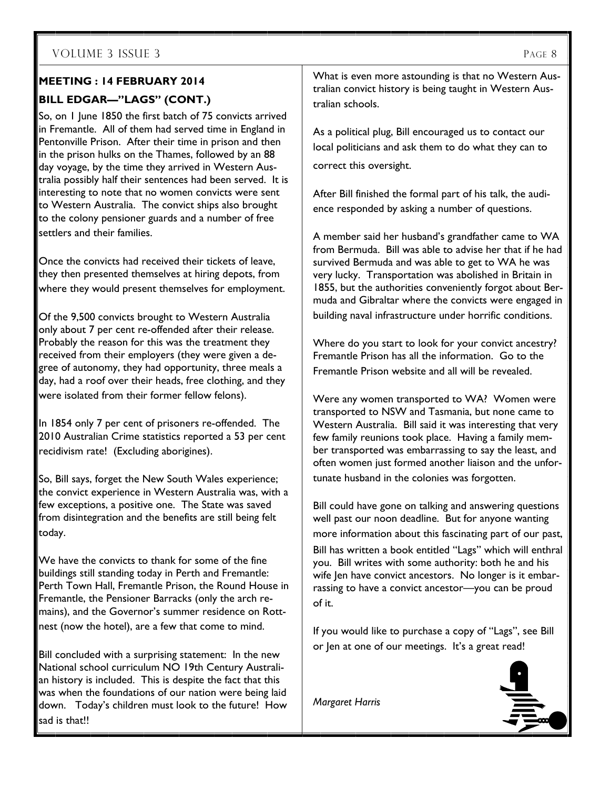#### **MEETING : 14 FEBRUARY 2014**

#### **BILL EDGAR—"LAGS" (CONT.)**

So, on 1 June 1850 the first batch of 75 convicts arrived in Fremantle. All of them had served time in England in Pentonville Prison. After their time in prison and then in the prison hulks on the Thames, followed by an 88 day voyage, by the time they arrived in Western Australia possibly half their sentences had been served. It is interesting to note that no women convicts were sent to Western Australia. The convict ships also brought to the colony pensioner guards and a number of free settlers and their families.

Once the convicts had received their tickets of leave, they then presented themselves at hiring depots, from where they would present themselves for employment.

Of the 9,500 convicts brought to Western Australia only about 7 per cent re-offended after their release. Probably the reason for this was the treatment they received from their employers (they were given a degree of autonomy, they had opportunity, three meals a day, had a roof over their heads, free clothing, and they were isolated from their former fellow felons).

In 1854 only 7 per cent of prisoners re-offended. The 2010 Australian Crime statistics reported a 53 per cent recidivism rate! (Excluding aborigines).

So, Bill says, forget the New South Wales experience; the convict experience in Western Australia was, with a few exceptions, a positive one. The State was saved from disintegration and the benefits are still being felt today.

We have the convicts to thank for some of the fine buildings still standing today in Perth and Fremantle: Perth Town Hall, Fremantle Prison, the Round House in Fremantle, the Pensioner Barracks (only the arch remains), and the Governor's summer residence on Rottnest (now the hotel), are a few that come to mind.

Bill concluded with a surprising statement: In the new National school curriculum NO 19th Century Australian history is included. This is despite the fact that this was when the foundations of our nation were being laid down. Today's children must look to the future! How sad is that!!

What is even more astounding is that no Western Australian convict history is being taught in Western Australian schools.

As a political plug, Bill encouraged us to contact our local politicians and ask them to do what they can to correct this oversight.

After Bill finished the formal part of his talk, the audience responded by asking a number of questions.

A member said her husband's grandfather came to WA from Bermuda. Bill was able to advise her that if he had survived Bermuda and was able to get to WA he was very lucky. Transportation was abolished in Britain in 1855, but the authorities conveniently forgot about Bermuda and Gibraltar where the convicts were engaged in building naval infrastructure under horrific conditions.

Where do you start to look for your convict ancestry? Fremantle Prison has all the information. Go to the Fremantle Prison website and all will be revealed.

Were any women transported to WA? Women were transported to NSW and Tasmania, but none came to Western Australia. Bill said it was interesting that very few family reunions took place. Having a family member transported was embarrassing to say the least, and often women just formed another liaison and the unfortunate husband in the colonies was forgotten.

Bill could have gone on talking and answering questions well past our noon deadline. But for anyone wanting more information about this fascinating part of our past, Bill has written a book entitled "Lags" which will enthral you. Bill writes with some authority: both he and his wife Jen have convict ancestors. No longer is it embarrassing to have a convict ancestor—you can be proud of it.

If you would like to purchase a copy of "Lags", see Bill or Jen at one of our meetings. It's a great read!

*Margaret Harris* 

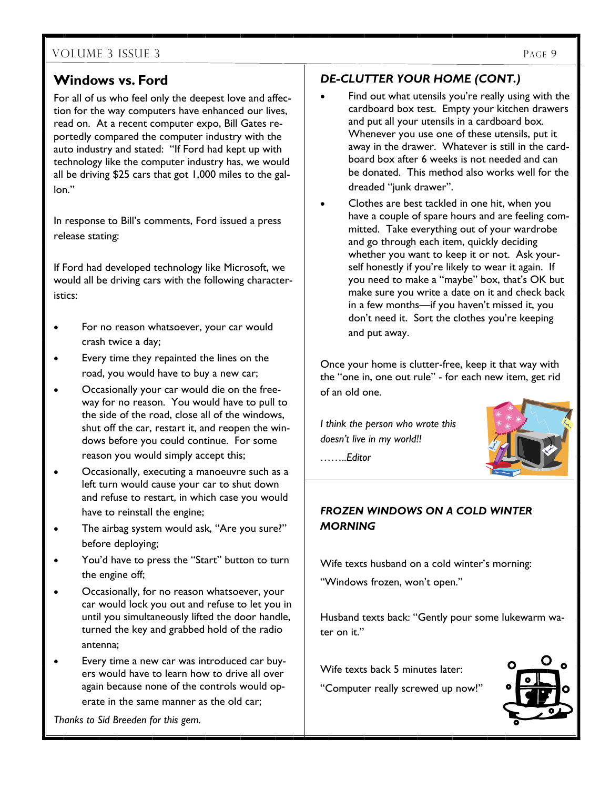#### **Windows vs. Ford**

For all of us who feel only the deepest love and affection for the way computers have enhanced our lives, read on. At a recent computer expo, Bill Gates reportedly compared the computer industry with the auto industry and stated: "If Ford had kept up with technology like the computer industry has, we would all be driving \$25 cars that got 1,000 miles to the gallon."

In response to Bill's comments, Ford issued a press release stating:

If Ford had developed technology like Microsoft, we would all be driving cars with the following characteristics:

- For no reason whatsoever, your car would crash twice a day;
- Every time they repainted the lines on the road, you would have to buy a new car;
- Occasionally your car would die on the freeway for no reason. You would have to pull to the side of the road, close all of the windows, shut off the car, restart it, and reopen the windows before you could continue. For some reason you would simply accept this;
- Occasionally, executing a manoeuvre such as a left turn would cause your car to shut down and refuse to restart, in which case you would have to reinstall the engine;
- The airbag system would ask, "Are you sure?" before deploying;
- You'd have to press the "Start" button to turn the engine off;
- Occasionally, for no reason whatsoever, your car would lock you out and refuse to let you in until you simultaneously lifted the door handle, turned the key and grabbed hold of the radio antenna;
- Every time a new car was introduced car buyers would have to learn how to drive all over again because none of the controls would operate in the same manner as the old car;

*Thanks to Sid Breeden for this gem.* 

#### *DE-CLUTTER YOUR HOME (CONT.)*

- Find out what utensils you're really using with the cardboard box test. Empty your kitchen drawers and put all your utensils in a cardboard box. Whenever you use one of these utensils, put it away in the drawer. Whatever is still in the cardboard box after 6 weeks is not needed and can be donated. This method also works well for the dreaded "junk drawer".
- Clothes are best tackled in one hit, when you have a couple of spare hours and are feeling committed. Take everything out of your wardrobe and go through each item, quickly deciding whether you want to keep it or not. Ask yourself honestly if you're likely to wear it again. If you need to make a "maybe" box, that's OK but make sure you write a date on it and check back in a few months—if you haven't missed it, you don't need it. Sort the clothes you're keeping and put away.

Once your home is clutter-free, keep it that way with the "one in, one out rule" - for each new item, get rid of an old one.

*I think the person who wrote this doesn't live in my world!!* 



*……..Editor* 

#### *FROZEN WINDOWS ON A COLD WINTER MORNING*

Wife texts husband on a cold winter's morning:

"Windows frozen, won't open."

Husband texts back: "Gently pour some lukewarm water on it."

Wife texts back 5 minutes later:

"Computer really screwed up now!"

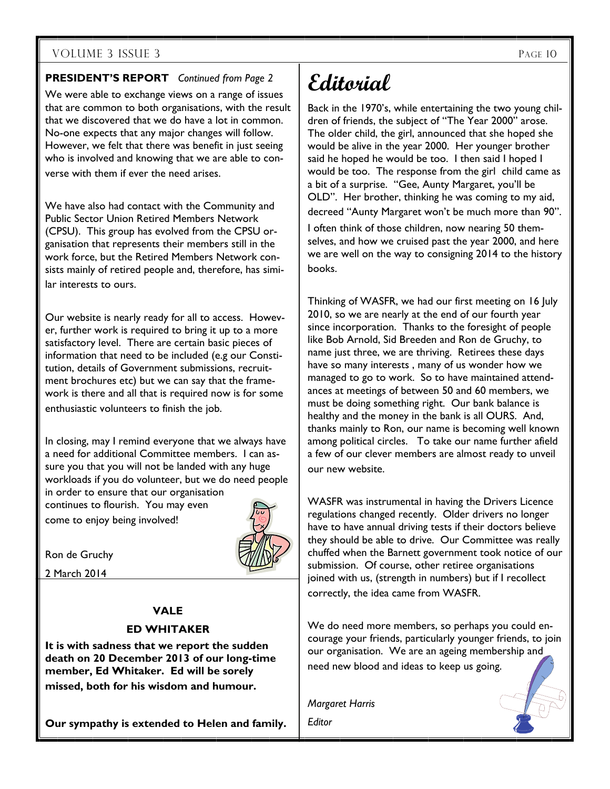#### **PRESIDENT'S REPORT** *Continued from Page 2*

We were able to exchange views on a range of issues that are common to both organisations, with the result that we discovered that we do have a lot in common. No-one expects that any major changes will follow. However, we felt that there was benefit in just seeing who is involved and knowing that we are able to converse with them if ever the need arises.

We have also had contact with the Community and Public Sector Union Retired Members Network (CPSU). This group has evolved from the CPSU organisation that represents their members still in the work force, but the Retired Members Network consists mainly of retired people and, therefore, has similar interests to ours.

Our website is nearly ready for all to access. However, further work is required to bring it up to a more satisfactory level. There are certain basic pieces of information that need to be included (e.g our Constitution, details of Government submissions, recruitment brochures etc) but we can say that the framework is there and all that is required now is for some enthusiastic volunteers to finish the job.

In closing, may I remind everyone that we always have a need for additional Committee members. I can assure you that you will not be landed with any huge workloads if you do volunteer, but we do need people in order to ensure that our organisation continues to flourish. You may even come to enjoy being involved!



Ron de Gruchy

2 March 2014

#### **VALE**

#### **ED WHITAKER**

**It is with sadness that we report the sudden death on 20 December 2013 of our long-time member, Ed Whitaker. Ed will be sorely missed, both for his wisdom and humour.** 

**Our sympathy is extended to Helen and family.** 

## **Editorial**

Back in the 1970's, while entertaining the two young children of friends, the subject of "The Year 2000" arose. The older child, the girl, announced that she hoped she would be alive in the year 2000. Her younger brother said he hoped he would be too. I then said I hoped I would be too. The response from the girl child came as a bit of a surprise. "Gee, Aunty Margaret, you'll be OLD". Her brother, thinking he was coming to my aid,

decreed "Aunty Margaret won't be much more than 90".

I often think of those children, now nearing 50 themselves, and how we cruised past the year 2000, and here we are well on the way to consigning 2014 to the history books.

Thinking of WASFR, we had our first meeting on 16 July 2010, so we are nearly at the end of our fourth year since incorporation. Thanks to the foresight of people like Bob Arnold, Sid Breeden and Ron de Gruchy, to name just three, we are thriving. Retirees these days have so many interests , many of us wonder how we managed to go to work. So to have maintained attendances at meetings of between 50 and 60 members, we must be doing something right. Our bank balance is healthy and the money in the bank is all OURS. And, thanks mainly to Ron, our name is becoming well known among political circles. To take our name further afield a few of our clever members are almost ready to unveil our new website.

WASFR was instrumental in having the Drivers Licence regulations changed recently. Older drivers no longer have to have annual driving tests if their doctors believe they should be able to drive. Our Committee was really chuffed when the Barnett government took notice of our submission. Of course, other retiree organisations joined with us, (strength in numbers) but if I recollect correctly, the idea came from WASFR.

We do need more members, so perhaps you could encourage your friends, particularly younger friends, to join our organisation. We are an ageing membership and need new blood and ideas to keep us going.

*Margaret Harris* 

*Editor*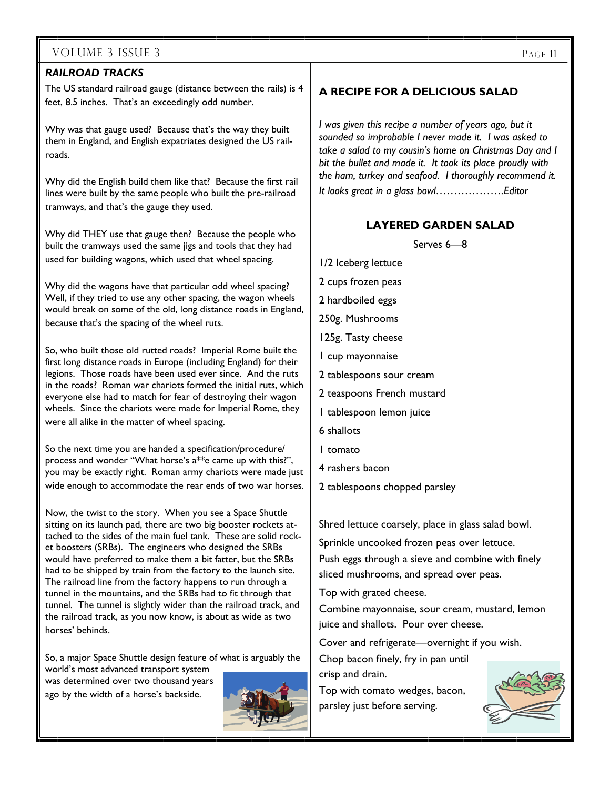#### *RAILROAD TRACKS*

The US standard railroad gauge (distance between the rails) is 4 feet, 8.5 inches. That's an exceedingly odd number.

Why was that gauge used? Because that's the way they built them in England, and English expatriates designed the US railroads.

Why did the English build them like that? Because the first rail lines were built by the same people who built the pre-railroad tramways, and that's the gauge they used.

Why did THEY use that gauge then? Because the people who built the tramways used the same jigs and tools that they had used for building wagons, which used that wheel spacing.

Why did the wagons have that particular odd wheel spacing? Well, if they tried to use any other spacing, the wagon wheels would break on some of the old, long distance roads in England, because that's the spacing of the wheel ruts.

So, who built those old rutted roads? Imperial Rome built the first long distance roads in Europe (including England) for their legions. Those roads have been used ever since. And the ruts in the roads? Roman war chariots formed the initial ruts, which everyone else had to match for fear of destroying their wagon wheels. Since the chariots were made for Imperial Rome, they were all alike in the matter of wheel spacing.

So the next time you are handed a specification/procedure/ process and wonder "What horse's a\*\*e came up with this?", you may be exactly right. Roman army chariots were made just wide enough to accommodate the rear ends of two war horses.

Now, the twist to the story. When you see a Space Shuttle sitting on its launch pad, there are two big booster rockets attached to the sides of the main fuel tank. These are solid rocket boosters (SRBs). The engineers who designed the SRBs would have preferred to make them a bit fatter, but the SRBs had to be shipped by train from the factory to the launch site. The railroad line from the factory happens to run through a tunnel in the mountains, and the SRBs had to fit through that tunnel. The tunnel is slightly wider than the railroad track, and the railroad track, as you now know, is about as wide as two horses' behinds.

So, a major Space Shuttle design feature of what is arguably the world's most advanced transport system was determined over two thousand years

ago by the width of a horse's backside.



#### **A RECIPE FOR A DELICIOUS SALAD**

*I was given this recipe a number of years ago, but it sounded so improbable I never made it. I was asked to take a salad to my cousin's home on Christmas Day and I bit the bullet and made it. It took its place proudly with the ham, turkey and seafood. I thoroughly recommend it. It looks great in a glass bowl……………….Editor* 

#### **LAYERED GARDEN SALAD**

Serves 6—8

1/2 Iceberg lettuce 2 cups frozen peas 2 hardboiled eggs 250g. Mushrooms 125g. Tasty cheese 1 cup mayonnaise 2 tablespoons sour cream 2 teaspoons French mustard 1 tablespoon lemon juice 6 shallots 1 tomato 4 rashers bacon 2 tablespoons chopped parsley

Shred lettuce coarsely, place in glass salad bowl.

Sprinkle uncooked frozen peas over lettuce. Push eggs through a sieve and combine with finely sliced mushrooms, and spread over peas.

Top with grated cheese.

Combine mayonnaise, sour cream, mustard, lemon juice and shallots. Pour over cheese.

Cover and refrigerate—overnight if you wish.

Chop bacon finely, fry in pan until crisp and drain.

Top with tomato wedges, bacon, parsley just before serving.